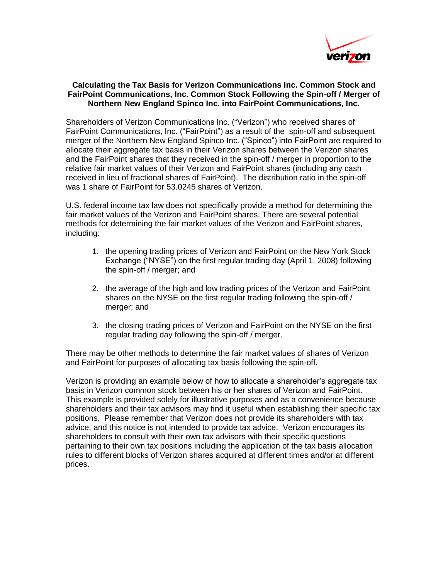

## **Calculating the Tax Basis for Verizon Communications Inc. Common Stock and FairPoint Communications, Inc. Common Stock Following the Spin-off / Merger of Northern New England Spinco Inc. into FairPoint Communications, Inc.**

Shareholders of Verizon Communications Inc. ("Verizon") who received shares of FairPoint Communications, Inc. ("FairPoint") as a result of the spin-off and subsequent merger of the Northern New England Spinco Inc. ("Spinco") into FairPoint are required to allocate their aggregate tax basis in their Verizon shares between the Verizon shares and the FairPoint shares that they received in the spin-off / merger in proportion to the relative fair market values of their Verizon and FairPoint shares (including any cash received in lieu of fractional shares of FairPoint). The distribution ratio in the spin-off was 1 share of FairPoint for 53.0245 shares of Verizon.

U.S. federal income tax law does not specifically provide a method for determining the fair market values of the Verizon and FairPoint shares. There are several potential methods for determining the fair market values of the Verizon and FairPoint shares, including:

- 1. the opening trading prices of Verizon and FairPoint on the New York Stock Exchange ("NYSE") on the first regular trading day (April 1, 2008) following the spin-off / merger; and
- 2. the average of the high and low trading prices of the Verizon and FairPoint shares on the NYSE on the first regular trading following the spin-off / merger; and
- 3. the closing trading prices of Verizon and FairPoint on the NYSE on the first regular trading day following the spin-off / merger.

There may be other methods to determine the fair market values of shares of Verizon and FairPoint for purposes of allocating tax basis following the spin-off.

Verizon is providing an example below of how to allocate a shareholder's aggregate tax basis in Verizon common stock between his or her shares of Verizon and FairPoint. This example is provided solely for illustrative purposes and as a convenience because shareholders and their tax advisors may find it useful when establishing their specific tax positions. Please remember that Verizon does not provide its shareholders with tax advice, and this notice is not intended to provide tax advice. Verizon encourages its shareholders to consult with their own tax advisors with their specific questions pertaining to their own tax positions including the application of the tax basis allocation rules to different blocks of Verizon shares acquired at different times and/or at different prices.